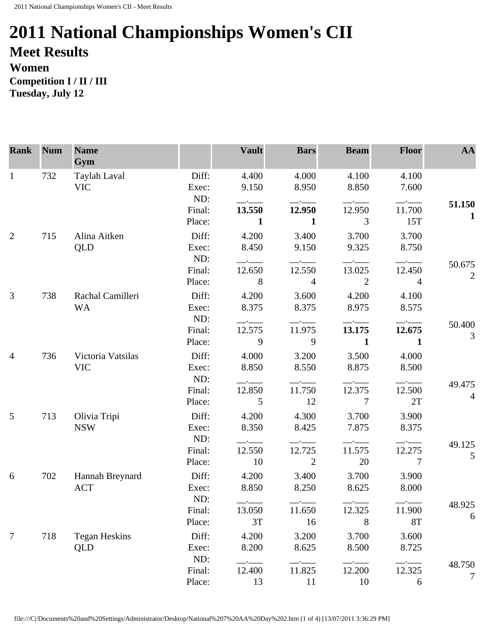## **2011 National Championships Women's CII Meet Results Women**

**Competition I / II / III Tuesday, July 12** 

| <b>Rank</b>     | <b>Num</b> | <b>Name</b><br>Gym         |                       | <b>Vault</b>   | <b>Bars</b>    | <b>Beam</b>     | <b>Floor</b>   | AA                       |
|-----------------|------------|----------------------------|-----------------------|----------------|----------------|-----------------|----------------|--------------------------|
| $\mathbf{1}$    | 732        | Taylah Laval<br><b>VIC</b> | Diff:<br>Exec:<br>ND: | 4.400<br>9.150 | 4.000<br>8.950 | 4.100<br>8.850  | 4.100<br>7.600 |                          |
|                 |            |                            | Final:                | 13.550         | 12.950         | 12.950          | 11.700         | 51.150                   |
|                 |            |                            | Place:                | $\mathbf{1}$   | $\mathbf{1}$   | $\mathfrak{Z}$  | 15T            | $\mathbf{1}$             |
| $\overline{2}$  | 715        | Alina Aitken               | Diff:                 | 4.200          | 3.400          | 3.700           | 3.700          |                          |
|                 |            | QLD                        | Exec:                 | 8.450          | 9.150          | 9.325           | 8.750          |                          |
|                 |            |                            | ND:                   | $ -$           |                |                 |                |                          |
|                 |            |                            | Final:                | 12.650         | 12.550         | 13.025          | 12.450         | 50.675<br>$\mathfrak{2}$ |
|                 |            |                            | Place:                | 8              | $\overline{4}$ | 2               | $\overline{4}$ |                          |
| 3               | 738        | Rachal Camilleri           | Diff:                 | 4.200          | 3.600          | 4.200           | 4.100          |                          |
|                 |            | <b>WA</b>                  | Exec:                 | 8.375          | 8.375          | 8.975           | 8.575          |                          |
|                 |            |                            | ND:                   |                |                |                 |                | 50.400                   |
|                 |            |                            | Final:                | 12.575         | 11.975         | 13.175          | 12.675         | 3                        |
|                 |            |                            | Place:                | 9              | 9              | $\mathbf{1}$    | $\mathbf{1}$   |                          |
| $\overline{4}$  | 736        | Victoria Vatsilas          | Diff:                 | 4.000          | 3.200          | 3.500           | 4.000          |                          |
|                 |            | <b>VIC</b>                 | Exec:                 | 8.850          | 8.550          | 8.875           | 8.500          |                          |
|                 |            |                            | ND:                   |                |                |                 |                | 49.475                   |
|                 |            |                            | Final:                | 12.850         | 11.750         | 12.375          | 12.500         | $\overline{4}$           |
|                 |            |                            | Place:                | 5              | 12             | $7\phantom{.0}$ | 2T             |                          |
| 5               | 713        | Olivia Tripi               | Diff:                 | 4.200          | 4.300          | 3.700           | 3.900          |                          |
|                 |            | <b>NSW</b>                 | Exec:                 | 8.350          | 8.425          | 7.875           | 8.375          |                          |
|                 |            |                            | ND:                   |                |                |                 |                | 49.125                   |
|                 |            |                            | Final:                | 12.550         | 12.725         | 11.575          | 12.275         | 5                        |
|                 |            |                            | Place:                | 10             | 2              | 20              | $\overline{7}$ |                          |
| 6               | 702        | Hannah Breynard            | Diff:                 | 4.200          | 3.400          | 3.700           | 3.900          |                          |
|                 |            | <b>ACT</b>                 | Exec:                 | 8.850          | 8.250          | 8.625           | 8.000          |                          |
|                 |            |                            | ND:                   |                |                |                 |                | 48.925                   |
|                 |            |                            | Final:                | 13.050         | 11.650         | 12.325          | 11.900         | 6                        |
|                 |            |                            | Place:                | 3T             | 16             | 8               | <b>8T</b>      |                          |
| $7\phantom{.0}$ | 718        | <b>Tegan Heskins</b>       | Diff:                 | 4.200          | 3.200          | 3.700           | 3.600          |                          |
|                 |            | QLD                        | Exec:                 | 8.200          | 8.625          | 8.500           | 8.725          |                          |
|                 |            |                            | ND:                   |                |                |                 |                | 48.750                   |
|                 |            |                            | Final:                | 12.400         | 11.825         | 12.200          | 12.325         | 7                        |
|                 |            |                            | Place:                | 13             | 11             | 10              | 6              |                          |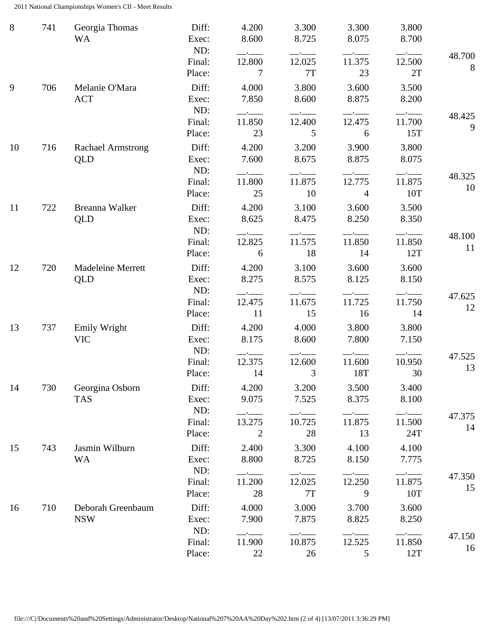2011 National Championships Women's CII - Meet Results

| 8  | 741 | Georgia Thomas<br><b>WA</b>     | Diff:<br>Exec:<br>ND:   | 4.200<br>8.600                                                                      | 3.300<br>8.725               | 3.300<br>8.075 | 3.800<br>8.700             |              |
|----|-----|---------------------------------|-------------------------|-------------------------------------------------------------------------------------|------------------------------|----------------|----------------------------|--------------|
|    |     |                                 | Final:<br>Place:        | $ -$<br>12.800<br>7                                                                 | 12.025<br>$7\mathrm{T}$      | 11.375<br>23   | 12.500<br>2T               | 48.700<br>8  |
| 9  | 706 | Melanie O'Mara<br><b>ACT</b>    | Diff:<br>Exec:          | 4.000<br>7.850                                                                      | 3.800<br>8.600               | 3.600<br>8.875 | 3.500<br>8.200             |              |
|    |     |                                 | ND:<br>Final:<br>Place: | $\overline{\phantom{a}}$ . The contract of $\overline{\phantom{a}}$<br>11.850<br>23 | 12.400<br>5                  | 12.475<br>6    | 11.700<br>15T              | 48.425<br>9  |
| 10 | 716 | <b>Rachael Armstrong</b><br>QLD | Diff:<br>Exec:<br>ND:   | 4.200<br>7.600                                                                      | 3.200<br>8.675               | 3.900<br>8.875 | 3.800<br>8.075             |              |
|    |     |                                 | Final:<br>Place:        | $-\cdot$ ——<br>11.800<br>25                                                         | $-\cdot$ ——<br>11.875<br>10  | 12.775<br>4    | $-$ - $-$<br>11.875<br>10T | 48.325<br>10 |
| 11 | 722 | Breanna Walker<br>QLD           | Diff:<br>Exec:<br>ND:   | 4.200<br>8.625                                                                      | 3.100<br>8.475               | 3.600<br>8.250 | 3.500<br>8.350             |              |
|    |     |                                 | Final:<br>Place:        | $-$ - $-$ -<br>12.825<br>6                                                          | $-\cdot$ $-$<br>11.575<br>18 | 11.850<br>14   | 11.850<br>12T              | 48.100<br>11 |
| 12 | 720 | Madeleine Merrett<br>QLD        | Diff:<br>Exec:          | 4.200<br>8.275                                                                      | 3.100<br>8.575               | 3.600<br>8.125 | 3.600<br>8.150             |              |
|    |     |                                 | ND:<br>Final:<br>Place: | 12.475<br>11                                                                        | 11.675<br>15                 | 11.725<br>16   | 11.750<br>14               | 47.625<br>12 |
| 13 | 737 | Emily Wright<br><b>VIC</b>      | Diff:<br>Exec:<br>ND:   | 4.200<br>8.175                                                                      | 4.000<br>8.600               | 3.800<br>7.800 | 3.800<br>7.150<br>—-——     |              |
|    |     |                                 | Final:<br>Place:        | 12.375<br>14                                                                        | 12.600<br>$\overline{3}$     | 11.600<br>18T  | 10.950<br>30               | 47.525<br>13 |
| 14 | 730 | Georgina Osborn<br><b>TAS</b>   | Diff:<br>Exec:<br>ND:   | 4.200<br>9.075                                                                      | 3.200<br>7.525               | 3.500<br>8.375 | 3.400<br>8.100             |              |
|    |     |                                 | Final:<br>Place:        | 13.275<br>2                                                                         | 10.725<br>28                 | 11.875<br>13   | 11.500<br>24T              | 47.375<br>14 |
| 15 | 743 | Jasmin Wilburn<br><b>WA</b>     | Diff:<br>Exec:<br>ND:   | 2.400<br>8.800                                                                      | 3.300<br>8.725               | 4.100<br>8.150 | 4.100<br>7.775             |              |
|    |     |                                 | Final:<br>Place:        | 11.200<br>28                                                                        | 12.025<br>7T                 | 12.250<br>9    | 11.875<br>10T              | 47.350<br>15 |
| 16 | 710 | Deborah Greenbaum<br><b>NSW</b> | Diff:<br>Exec:          | 4.000<br>7.900                                                                      | 3.000<br>7.875               | 3.700<br>8.825 | 3.600<br>8.250             |              |
|    |     |                                 | ND:<br>Final:<br>Place: | 11.900<br>22                                                                        | 10.875<br>26                 | 12.525<br>5    | 11.850<br>12T              | 47.150<br>16 |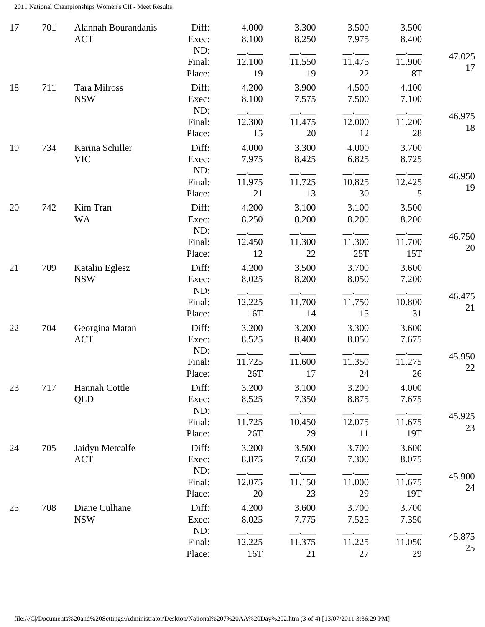2011 National Championships Women's CII - Meet Results

| 17 | 701 | Alannah Bourandanis<br><b>ACT</b> | Diff:<br>Exec:          | 4.000<br>8.100            | 3.300<br>8.250 | 3.500<br>7.975 | 3.500<br>8.400        |              |
|----|-----|-----------------------------------|-------------------------|---------------------------|----------------|----------------|-----------------------|--------------|
|    |     |                                   | ND:<br>Final:<br>Place: | $-$ - $-$<br>12.100<br>19 | 11.550<br>19   | 11.475<br>22   | 11.900<br><b>8T</b>   | 47.025<br>17 |
| 18 | 711 | Tara Milross<br><b>NSW</b>        | Diff:<br>Exec:<br>ND:   | 4.200<br>8.100            | 3.900<br>7.575 | 4.500<br>7.500 | 4.100<br>7.100        |              |
|    |     |                                   | Final:<br>Place:        | 12.300<br>15              | 11.475<br>20   | 12.000<br>12   | $ -$<br>11.200<br>28  | 46.975<br>18 |
| 19 | 734 | Karina Schiller<br><b>VIC</b>     | Diff:<br>Exec:<br>ND:   | 4.000<br>7.975<br>$ -$    | 3.300<br>8.425 | 4.000<br>6.825 | 3.700<br>8.725        |              |
|    |     |                                   | Final:<br>Place:        | 11.975<br>21              | 11.725<br>13   | 10.825<br>30   | 12.425<br>5           | 46.950<br>19 |
| 20 | 742 | Kim Tran<br><b>WA</b>             | Diff:<br>Exec:<br>ND:   | 4.200<br>8.250            | 3.100<br>8.200 | 3.100<br>8.200 | 3.500<br>8.200        |              |
|    |     |                                   | Final:<br>Place:        | 12.450<br>12              | 11.300<br>22   | 11.300<br>25T  | 11.700<br>15T         | 46.750<br>20 |
| 21 | 709 | Katalin Eglesz<br><b>NSW</b>      | Diff:<br>Exec:<br>ND:   | 4.200<br>8.025            | 3.500<br>8.200 | 3.700<br>8.050 | 3.600<br>7.200        |              |
|    |     |                                   | Final:<br>Place:        | 12.225<br>16T             | 11.700<br>14   | 11.750<br>15   | 10.800<br>31          | 46.475<br>21 |
| 22 | 704 | Georgina Matan<br><b>ACT</b>      | Diff:<br>Exec:<br>ND:   | 3.200<br>8.525            | 3.200<br>8.400 | 3.300<br>8.050 | 3.600<br>7.675        |              |
|    |     |                                   | Final:<br>Place:        | 11.725<br>26T             | 11.600<br>17   | 11.350<br>24   | 11.275<br>26          | 45.950<br>22 |
| 23 | 717 | Hannah Cottle<br>QLD              | Diff:<br>Exec:<br>ND:   | 3.200<br>8.525            | 3.100<br>7.350 | 3.200<br>8.875 | 4.000<br>7.675        |              |
|    |     |                                   | Final:<br>Place:        | $ -$<br>11.725<br>26T     | 10.450<br>29   | 12.075<br>11   | $ -$<br>11.675<br>19T | 45.925<br>23 |
| 24 | 705 | Jaidyn Metcalfe<br><b>ACT</b>     | Diff:<br>Exec:<br>ND:   | 3.200<br>8.875            | 3.500<br>7.650 | 3.700<br>7.300 | 3.600<br>8.075        |              |
|    |     |                                   | Final:<br>Place:        | 12.075<br>20              | 11.150<br>23   | 11.000<br>29   | 11.675<br>19T         | 45.900<br>24 |
| 25 | 708 | Diane Culhane<br><b>NSW</b>       | Diff:<br>Exec:<br>ND:   | 4.200<br>8.025            | 3.600<br>7.775 | 3.700<br>7.525 | 3.700<br>7.350        |              |
|    |     |                                   | Final:<br>Place:        | 12.225<br>16T             | 11.375<br>21   | 11.225<br>27   | 11.050<br>29          | 45.875<br>25 |